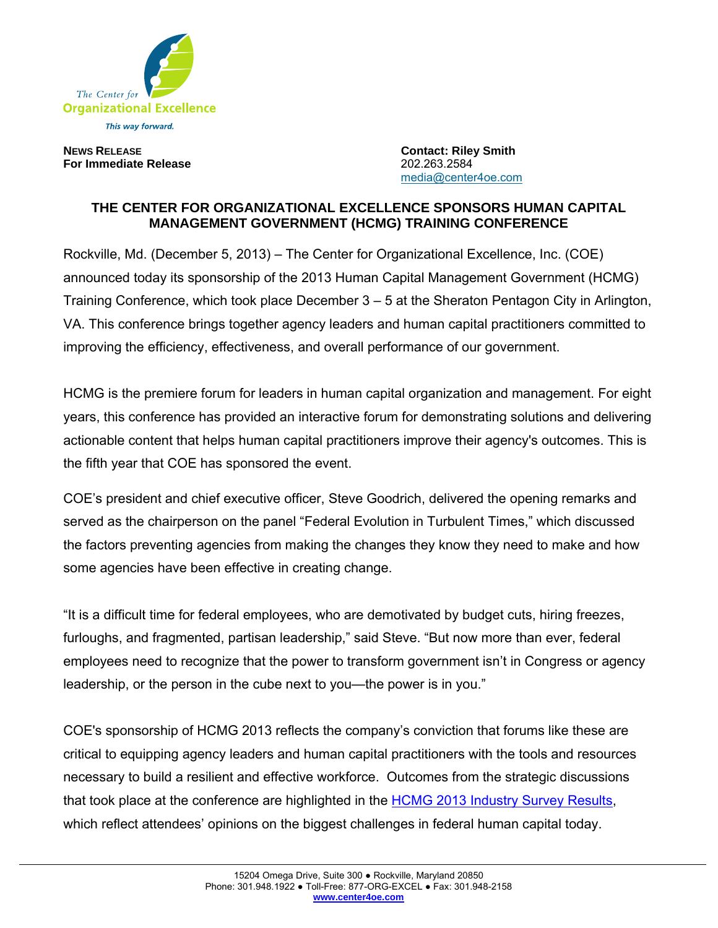

**NEWS RELEASE Contact: Riley Smith For Immediate Release** 202.263.2584

media@center4oe.com

## **THE CENTER FOR ORGANIZATIONAL EXCELLENCE SPONSORS HUMAN CAPITAL MANAGEMENT GOVERNMENT (HCMG) TRAINING CONFERENCE**

Rockville, Md. (December 5, 2013) – The Center for Organizational Excellence, Inc. (COE) announced today its sponsorship of the 2013 Human Capital Management Government (HCMG) Training Conference, which took place December 3 – 5 at the Sheraton Pentagon City in Arlington, VA. This conference brings together agency leaders and human capital practitioners committed to improving the efficiency, effectiveness, and overall performance of our government.

HCMG is the premiere forum for leaders in human capital organization and management. For eight years, this conference has provided an interactive forum for demonstrating solutions and delivering actionable content that helps human capital practitioners improve their agency's outcomes. This is the fifth year that COE has sponsored the event.

COE's president and chief executive officer, Steve Goodrich, delivered the opening remarks and served as the chairperson on the panel "Federal Evolution in Turbulent Times," which discussed the factors preventing agencies from making the changes they know they need to make and how some agencies have been effective in creating change.

"It is a difficult time for federal employees, who are demotivated by budget cuts, hiring freezes, furloughs, and fragmented, partisan leadership," said Steve. "But now more than ever, federal employees need to recognize that the power to transform government isn't in Congress or agency leadership, or the person in the cube next to you—the power is in you."

COE's sponsorship of HCMG 2013 reflects the company's conviction that forums like these are critical to equipping agency leaders and human capital practitioners with the tools and resources necessary to build a resilient and effective workforce. Outcomes from the strategic discussions that took place at the conference are highlighted in the HCMG 2013 Industry Survey Results, which reflect attendees' opinions on the biggest challenges in federal human capital today.